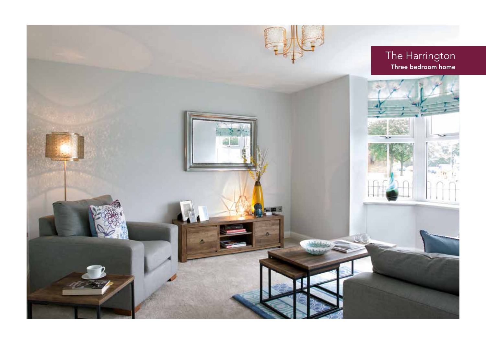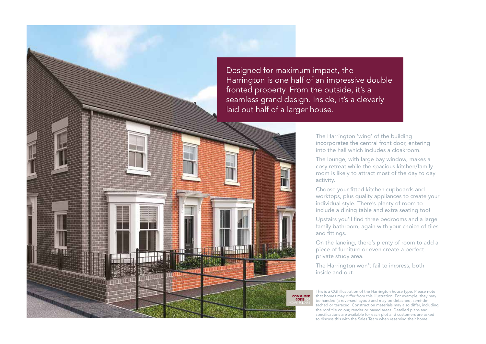Designed for maximum impact, the Harrington is one half of an impressive double fronted property. From the outside, it's a seamless grand design. Inside, it's a cleverly laid out half of a larger house.

> **CONSUMER CODE**

The Harrington 'wing' of the building incorporates the central front door, entering into the hall which includes a cloakroom.

The lounge, with large bay window, makes a cosy retreat while the spacious kitchen/family room is likely to attract most of the day to day activity.

Choose your fitted kitchen cupboards and worktops, plus quality appliances to create your individual style. There's plenty of room to include a dining table and extra seating too!

Upstairs you'll find three bedrooms and a large family bathroom, again with your choice of tiles and fittings.

On the landing, there's plenty of room to add a piece of furniture or even create a perfect private study area.

The Harrington won't fail to impress, both inside and out.

This is a CGI illustration of the Harrington house type. Please note that homes may differ from this illustration. For example, they may be handed (a reversed layout) and may be detached, semi-detached or terraced. Construction materials may also differ, including the roof tile colour, render or paved areas. Detailed plans and specifications are available for each plot and customers are asked to discuss this with the Sales Team when reserving their home.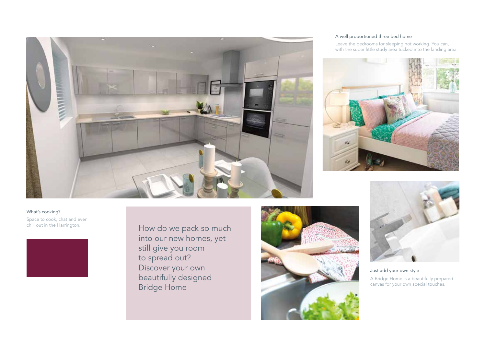

#### A well proportioned three bed home

Leave the bedrooms for sleeping not working. You can, with the super little study area tucked into the landing area.



### What's cooking?

Space to cook, chat and even chill out in the Harrington.

How do we pack so much into our new homes, yet still give you room to spread out? Discover your own beautifully designed Bridge Home





Just add your own style A Bridge Home is a beautifully prepared canvas for your own special touches.